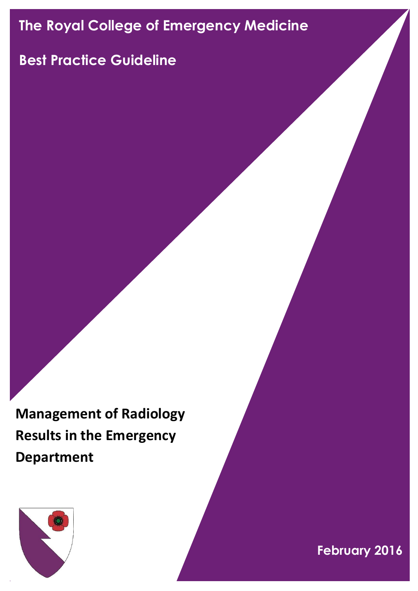# **The Royal College of Emergency Medicine**

## **Best Practice Guideline**

**Management of Radiology Results in the Emergency Department**



**February 2016**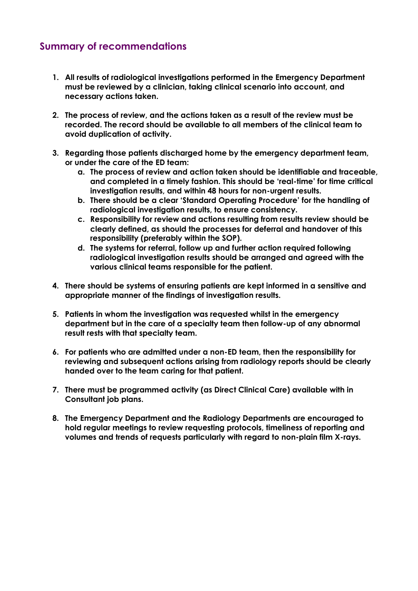#### **Summary of recommendations**

- **1. All results of radiological investigations performed in the Emergency Department must be reviewed by a clinician, taking clinical scenario into account, and necessary actions taken.**
- **2. The process of review, and the actions taken as a result of the review must be recorded. The record should be available to all members of the clinical team to avoid duplication of activity.**
- **3. Regarding those patients discharged home by the emergency department team, or under the care of the ED team:**
	- **a. The process of review and action taken should be identifiable and traceable, and completed in a timely fashion. This should be 'real-time' for time critical investigation results, and within 48 hours for non-urgent results.**
	- **b. There should be a clear 'Standard Operating Procedure' for the handling of radiological investigation results, to ensure consistency.**
	- **c. Responsibility for review and actions resulting from results review should be clearly defined, as should the processes for deferral and handover of this responsibility (preferably within the SOP).**
	- **d. The systems for referral, follow up and further action required following radiological investigation results should be arranged and agreed with the various clinical teams responsible for the patient.**
- **4. There should be systems of ensuring patients are kept informed in a sensitive and appropriate manner of the findings of investigation results.**
- **5. Patients in whom the investigation was requested whilst in the emergency department but in the care of a specialty team then follow-up of any abnormal result rests with that specialty team.**
- **6. For patients who are admitted under a non-ED team, then the responsibility for reviewing and subsequent actions arising from radiology reports should be clearly handed over to the team caring for that patient.**
- **7. There must be programmed activity (as Direct Clinical Care) available with in Consultant job plans.**
- **8. The Emergency Department and the Radiology Departments are encouraged to hold regular meetings to review requesting protocols, timeliness of reporting and volumes and trends of requests particularly with regard to non-plain film X-rays.**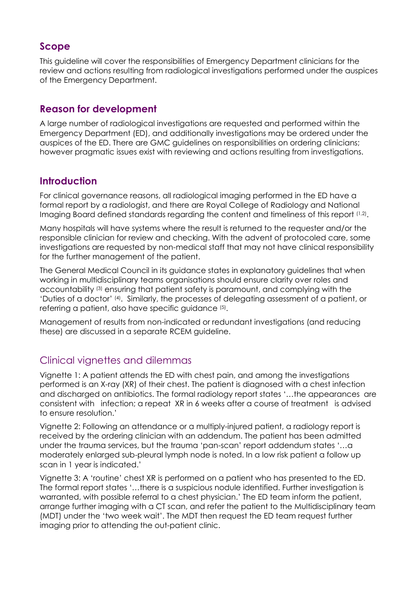### **Scope**

This guideline will cover the responsibilities of Emergency Department clinicians for the review and actions resulting from radiological investigations performed under the auspices of the Emergency Department.

#### **Reason for development**

A large number of radiological investigations are requested and performed within the Emergency Department (ED), and additionally investigations may be ordered under the auspices of the ED. There are GMC guidelines on responsibilities on ordering clinicians; however pragmatic issues exist with reviewing and actions resulting from investigations.

#### **Introduction**

For clinical governance reasons, all radiological imaging performed in the ED have a formal report by a radiologist, and there are Royal College of Radiology and National Imaging Board defined standards regarding the content and timeliness of this report (1,2) .

Many hospitals will have systems where the result is returned to the requester and/or the responsible clinician for review and checking. With the advent of protocoled care, some investigations are requested by non-medical staff that may not have clinical responsibility for the further management of the patient.

The General Medical Council in its guidance states in explanatory guidelines that when working in multidisciplinary teams organisations should ensure clarity over roles and accountability (3) ensuring that patient safety is paramount, and complying with the 'Duties of a doctor' (4) . Similarly, the processes of delegating assessment of a patient, or referring a patient, also have specific guidance (5).

Management of results from non-indicated or redundant investigations (and reducing these) are discussed in a separate RCEM guideline.

#### Clinical vignettes and dilemmas

Vignette 1: A patient attends the ED with chest pain, and among the investigations performed is an X-ray (XR) of their chest. The patient is diagnosed with a chest infection and discharged on antibiotics. The formal radiology report states '…the appearances are consistent with infection; a repeat XR in 6 weeks after a course of treatment is advised to ensure resolution.'

Vignette 2: Following an attendance or a multiply-injured patient, a radiology report is received by the ordering clinician with an addendum. The patient has been admitted under the trauma services, but the trauma 'pan-scan' report addendum states '…a moderately enlarged sub-pleural lymph node is noted. In a low risk patient a follow up scan in 1 year is indicated.'

Vignette 3: A 'routine' chest XR is performed on a patient who has presented to the ED. The formal report states '…there is a suspicious nodule identified. Further investigation is warranted, with possible referral to a chest physician.' The ED team inform the patient, arrange further imaging with a CT scan, and refer the patient to the Multidisciplinary team (MDT) under the 'two week wait'. The MDT then request the ED team request further imaging prior to attending the out-patient clinic.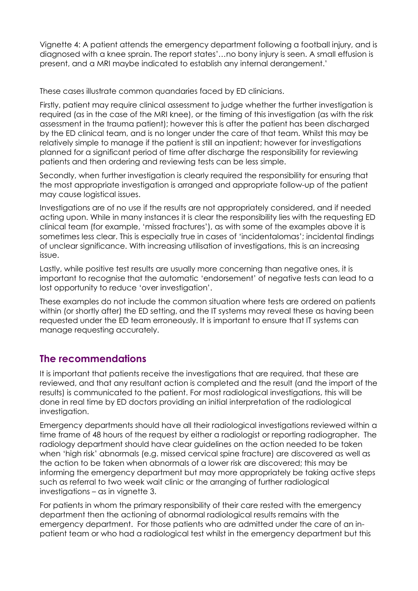Vignette 4: A patient attends the emergency department following a football injury, and is diagnosed with a knee sprain. The report states'…no bony injury is seen. A small effusion is present, and a MRI maybe indicated to establish any internal derangement.'

These cases illustrate common quandaries faced by ED clinicians.

Firstly, patient may require clinical assessment to judge whether the further investigation is required (as in the case of the MRI knee), or the timing of this investigation (as with the risk assessment in the trauma patient); however this is after the patient has been discharged by the ED clinical team, and is no longer under the care of that team. Whilst this may be relatively simple to manage if the patient is still an inpatient; however for investigations planned for a significant period of time after discharge the responsibility for reviewing patients and then ordering and reviewing tests can be less simple.

Secondly, when further investigation is clearly required the responsibility for ensuring that the most appropriate investigation is arranged and appropriate follow-up of the patient may cause logistical issues.

Investigations are of no use if the results are not appropriately considered, and if needed acting upon. While in many instances it is clear the responsibility lies with the requesting ED clinical team (for example, 'missed fractures'), as with some of the examples above it is sometimes less clear. This is especially true in cases of 'incidentalomas'; incidental findings of unclear significance. With increasing utilisation of investigations, this is an increasing issue.

Lastly, while positive test results are usually more concerning than negative ones, it is important to recognise that the automatic 'endorsement' of negative tests can lead to a lost opportunity to reduce 'over investigation'.

These examples do not include the common situation where tests are ordered on patients within (or shortly after) the ED setting, and the IT systems may reveal these as having been requested under the ED team erroneously. It is important to ensure that IT systems can manage requesting accurately.

#### **The recommendations**

It is important that patients receive the investigations that are required, that these are reviewed, and that any resultant action is completed and the result (and the import of the results) is communicated to the patient. For most radiological investigations, this will be done in real time by ED doctors providing an initial interpretation of the radiological investigation.

Emergency departments should have all their radiological investigations reviewed within a time frame of 48 hours of the request by either a radiologist or reporting radiographer. The radiology department should have clear guidelines on the action needed to be taken when 'high risk' abnormals (e.g. missed cervical spine fracture) are discovered as well as the action to be taken when abnormals of a lower risk are discovered; this may be informing the emergency department but may more appropriately be taking active steps such as referral to two week wait clinic or the arranging of further radiological investigations – as in vignette 3.

For patients in whom the primary responsibility of their care rested with the emergency department then the actioning of abnormal radiological results remains with the emergency department. For those patients who are admitted under the care of an inpatient team or who had a radiological test whilst in the emergency department but this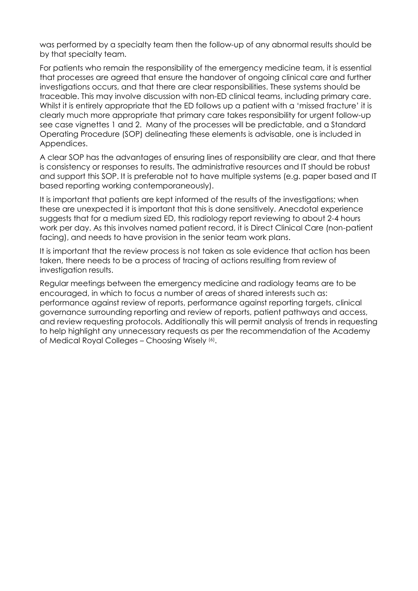was performed by a specialty team then the follow-up of any abnormal results should be by that specialty team.

For patients who remain the responsibility of the emergency medicine team, it is essential that processes are agreed that ensure the handover of ongoing clinical care and further investigations occurs, and that there are clear responsibilities. These systems should be traceable. This may involve discussion with non-ED clinical teams, including primary care. Whilst it is entirely appropriate that the ED follows up a patient with a 'missed fracture' it is clearly much more appropriate that primary care takes responsibility for urgent follow-up see case vignettes 1 and 2. Many of the processes will be predictable, and a Standard Operating Procedure (SOP) delineating these elements is advisable, one is included in Appendices.

A clear SOP has the advantages of ensuring lines of responsibility are clear, and that there is consistency or responses to results. The administrative resources and IT should be robust and support this SOP. It is preferable not to have multiple systems (e.g. paper based and IT based reporting working contemporaneously).

It is important that patients are kept informed of the results of the investigations; when these are unexpected it is important that this is done sensitively. Anecdotal experience suggests that for a medium sized ED, this radiology report reviewing to about 2-4 hours work per day. As this involves named patient record, it is Direct Clinical Care (non-patient facing), and needs to have provision in the senior team work plans.

It is important that the review process is not taken as sole evidence that action has been taken, there needs to be a process of tracing of actions resulting from review of investigation results.

Regular meetings between the emergency medicine and radiology teams are to be encouraged, in which to focus a number of areas of shared interests such as: performance against review of reports, performance against reporting targets, clinical governance surrounding reporting and review of reports, patient pathways and access, and review requesting protocols. Additionally this will permit analysis of trends in requesting to help highlight any unnecessary requests as per the recommendation of the Academy of Medical Royal Colleges - Choosing Wisely (6).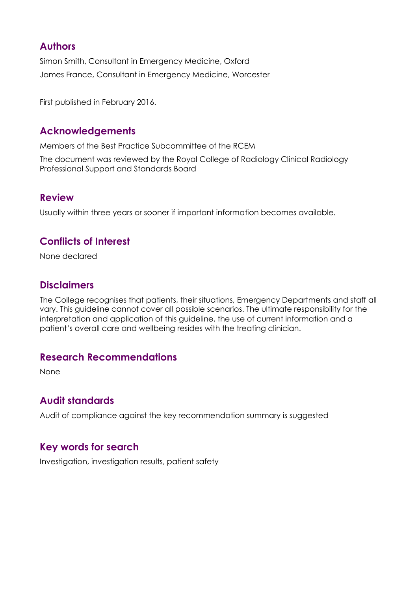#### **Authors**

Simon Smith, Consultant in Emergency Medicine, Oxford James France, Consultant in Emergency Medicine, Worcester

First published in February 2016.

#### **Acknowledgements**

Members of the Best Practice Subcommittee of the RCEM

The document was reviewed by the Royal College of Radiology Clinical Radiology Professional Support and Standards Board

#### **Review**

Usually within three years or sooner if important information becomes available.

#### **Conflicts of Interest**

None declared

#### **Disclaimers**

The College recognises that patients, their situations, Emergency Departments and staff all vary. This guideline cannot cover all possible scenarios. The ultimate responsibility for the interpretation and application of this guideline, the use of current information and a patient's overall care and wellbeing resides with the treating clinician.

#### **Research Recommendations**

None

#### **Audit standards**

Audit of compliance against the key recommendation summary is suggested

#### **Key words for search**

Investigation, investigation results, patient safety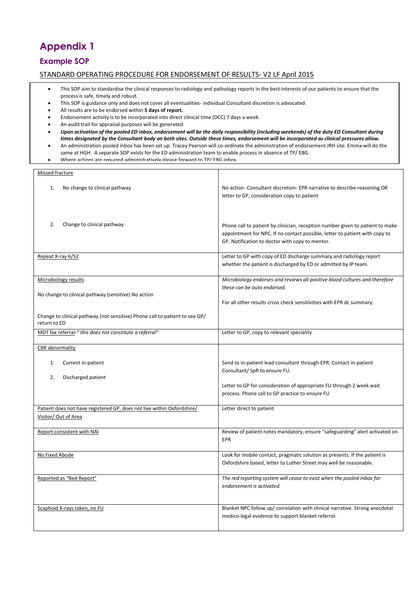## **Appendix 1**

#### **Example SOP**

#### STANDARD OPERATING PROCEDURE FOR ENDORSEMENT OF RESULTS- V2 LF April 2015

- This SOP aim to standardise the clinical responses to radiology and pathology reports in the best interests of our patients to ensure that the process is safe, timely and robust.
- This SOP is guidance only and does not cover all eventualities- individual Consultant discretion is advocated.
- All results are to be endorsed within **5 days of report.**
- Endorsement activity is to be incorporated into direct clinical time (DCC) 7 days a week.
- An audit trail for appraisal purposes will be generated
- *Upon activation of the pooled ED inbox, endorsement will be the daily responsibility (including weekends) of the duty ED Consultant during times designated by the Consultant body on both sites. Outside these times, endorsement will be incorporated as clinical pressures allow.*
- An administration pooled inbox has been set up. Tracey Pearson will co-ordinate the administration of endorsement JRH site. Emma will do the same at HGH. A separate SOP exists for the ED administration team to enable process in absence of TP/ EBG.
- Where actions are required administratively please forward to TP/ FBG inbox.

| Missed fracture                                                                                |                                                                                                                                                                                                                                |
|------------------------------------------------------------------------------------------------|--------------------------------------------------------------------------------------------------------------------------------------------------------------------------------------------------------------------------------|
| 1.<br>No change to clinical pathway                                                            | No action- Consultant discretion- EPR narrative to describe reasoning OR<br>letter to GP, consideration copy to patient                                                                                                        |
| 2.<br>Change to clinical pathway                                                               | Phone call to patient by clinician, reception number given to patient to make<br>appointment for NPC. If no contact possible, letter to patient with copy to<br>GP. Notification to doctor with copy to mentor.                |
| Repeat X-ray 6/52                                                                              | Letter to GP with copy of ED discharge summary and radiology report<br>whether the patient is discharged by ED or admitted by IP team.                                                                                         |
| Microbiology results<br>No change to clinical pathway (sensitive) No action                    | Microbiology endorses and reviews all positive blood cultures and therefore<br>these can be auto endorsed.<br>For all other results cross check sensitivities with EPR dc summary:                                             |
| Change to clinical pathway (not sensitive) Phone call to patient to see GP/<br>return to ED    |                                                                                                                                                                                                                                |
| MDT fax referral-" this does not constitute a referral"                                        | Letter to GP, copy to relevant speciality                                                                                                                                                                                      |
| CXR abnormality                                                                                |                                                                                                                                                                                                                                |
| Current in-patient<br>1.<br>Discharged patient<br>2.                                           | Send to in-patient lead consultant through EPR. Contact in-patient<br>Consultant/ SpR to ensure FU.<br>Letter to GP for consideration of appropriate FU through 2 week wait<br>process. Phone call to GP practice to ensure FU |
| Patient does not have registered GP, does not live within Oxfordshire/<br>Visitor/ Out of Area | Letter direct to patient                                                                                                                                                                                                       |
| Report consistent with NAI                                                                     | Review of patient notes mandatory, ensure "safeguarding" alert activated on<br>EPR                                                                                                                                             |
| No Fixed Abode                                                                                 | Look for mobile contact, pragmatic solution as presents. If the patient is<br>Oxfordshire based, letter to Luther Street may well be reasonable.                                                                               |
| Reported as "Red Report"                                                                       | The red reporting system will cease to exist when the pooled inbox for<br>endorsement is activated.                                                                                                                            |
| Scaphoid X-rays taken, no FU                                                                   | Blanket NPC follow up/ correlation with clinical narrative. Strong anecdotal<br>medico-legal evidence to support blanket referral.                                                                                             |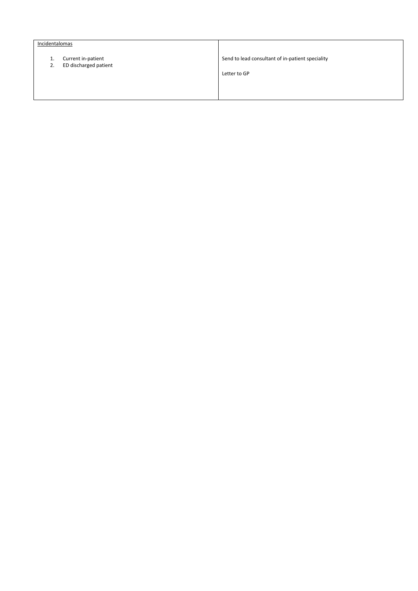#### Incidentalomas

- 1. Current in-patient
- 2. ED discharged patient

Send to lead consultant of in-patient speciality

Letter to GP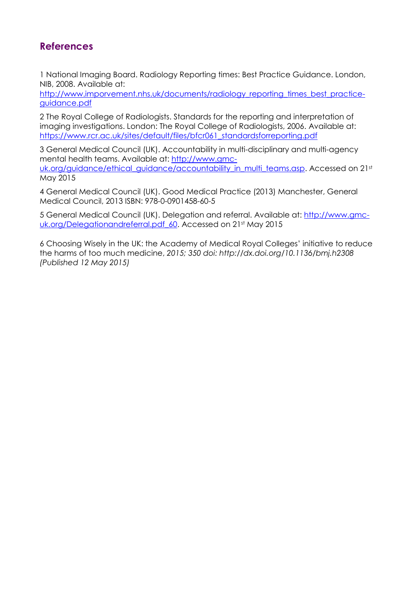### **References**

1 National Imaging Board. Radiology Reporting times: Best Practice Guidance. London, NIB, 2008. Available at:

[http://www.imporvement.nhs.uk/documents/radiology\\_reporting\\_times\\_best\\_practice](http://www.imporvement.nhs.uk/documents/radiology_reporting_times_best_practice-guidance.pdf)[guidance.pdf](http://www.imporvement.nhs.uk/documents/radiology_reporting_times_best_practice-guidance.pdf)

2 The Royal College of Radiologists. Standards for the reporting and interpretation of imaging investigations. London: The Royal College of Radiologists, 2006. Available at: [https://www.rcr.ac.uk/sites/default/files/bfcr061\\_standardsforreporting.pdf](https://www.rcr.ac.uk/sites/default/files/bfcr061_standardsforreporting.pdf)

3 General Medical Council (UK). Accountability in multi-disciplinary and multi-agency mental health teams. Available at: [http://www.gmc](http://www.gmc-uk.org/guidance/ethical_guidance/accountability_in_multi_teams.asp)[uk.org/guidance/ethical\\_guidance/accountability\\_in\\_multi\\_teams.asp.](http://www.gmc-uk.org/guidance/ethical_guidance/accountability_in_multi_teams.asp) Accessed on 21st May 2015

4 General Medical Council (UK). Good Medical Practice (2013) Manchester, General Medical Council, 2013 ISBN: 978-0-0901458-60-5

5 General Medical Council (UK). Delegation and referral. Available at: [http://www.gmc](http://www.gmc-uk.org/guidance/ethical_guidance/accountability_in_multi_teams.asp)uk.org/Delegationandreferral.pdf 60. Accessed on 21st May 2015

6 Choosing Wisely in the UK: the Academy of Medical Royal Colleges' initiative to reduce the harms of too much medicine, *2015; 350 doi: http://dx.doi.org/10.1136/bmj.h2308 (Published 12 May 2015)*